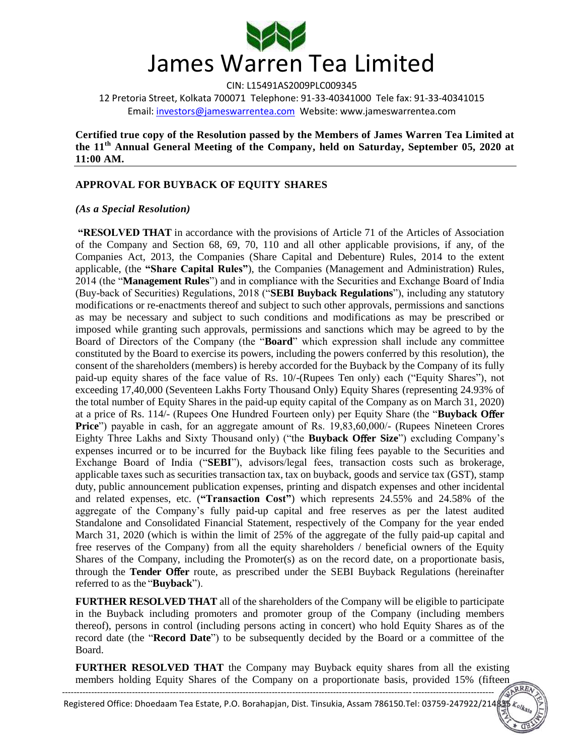

12 Pretoria Street, Kolkata 700071 Telephone: 91-33-40341000 Tele fax: 91-33-40341015 Email: investors@jameswarrentea.com Website: www.jameswarrentea.com

**Certified true copy of the Resolution passed by the Members of James Warren Tea Limited at the 11th Annual General Meeting of the Company, held on Saturday, September 05, 2020 at 11:00 AM.** 

# **APPROVAL FOR BUYBACK OF EQUITY SHARES**

#### *(As a Special Resolution)*

**"RESOLVED THAT** in accordance with the provisions of Article 71 of the Articles of Association of the Company and Section 68, 69, 70, 110 and all other applicable provisions, if any, of the Companies Act, 2013, the Companies (Share Capital and Debenture) Rules, 2014 to the extent applicable, (the **"Share Capital Rules"**), the Companies (Management and Administration) Rules, 2014 (the "**Management Rules**") and in compliance with the Securities and Exchange Board of India (Buy-back of Securities) Regulations, 2018 ("**SEBI Buyback Regulations**"), including any statutory modifications or re-enactments thereof and subject to such other approvals, permissions and sanctions as may be necessary and subject to such conditions and modifications as may be prescribed or imposed while granting such approvals, permissions and sanctions which may be agreed to by the Board of Directors of the Company (the "**Board**" which expression shall include any committee constituted by the Board to exercise its powers, including the powers conferred by this resolution), the consent of the shareholders (members) is hereby accorded for the Buyback by the Company of its fully paid-up equity shares of the face value of Rs. 10/-(Rupees Ten only) each ("Equity Shares"), not exceeding 17,40,000 (Seventeen Lakhs Forty Thousand Only) Equity Shares (representing 24.93% of the total number of Equity Shares in the paid-up equity capital of the Company as on March 31, 2020) at a price of Rs. 114/- (Rupees One Hundred Fourteen only) per Equity Share (the "**Buyback O**ff**er Price**") payable in cash, for an aggregate amount of Rs. 19,83,60,000/- (Rupees Nineteen Crores Eighty Three Lakhs and Sixty Thousand only) ("the **Buyback Offer Size**") excluding Company's expenses incurred or to be incurred for the Buyback like filing fees payable to the Securities and Exchange Board of India ("**SEBI**"), advisors/legal fees, transaction costs such as brokerage, applicable taxes such as securities transaction tax, tax on buyback, goods and service tax (GST), stamp duty, public announcement publication expenses, printing and dispatch expenses and other incidental and related expenses, etc. (**"Transaction Cost"**) which represents 24.55% and 24.58% of the aggregate of the Company"s fully paid-up capital and free reserves as per the latest audited Standalone and Consolidated Financial Statement, respectively of the Company for the year ended March 31, 2020 (which is within the limit of 25% of the aggregate of the fully paid-up capital and free reserves of the Company) from all the equity shareholders / beneficial owners of the Equity Shares of the Company, including the Promoter(s) as on the record date, on a proportionate basis, through the **Tender O**ff**er** route, as prescribed under the SEBI Buyback Regulations (hereinafter referred to as the "**Buyback**").

**FURTHER RESOLVED THAT** all of the shareholders of the Company will be eligible to participate in the Buyback including promoters and promoter group of the Company (including members thereof), persons in control (including persons acting in concert) who hold Equity Shares as of the record date (the "**Record Date**") to be subsequently decided by the Board or a committee of the Board.

**FURTHER RESOLVED THAT** the Company may Buyback equity shares from all the existing members holding Equity Shares of the Company on a proportionate basis, provided 15% (fifteen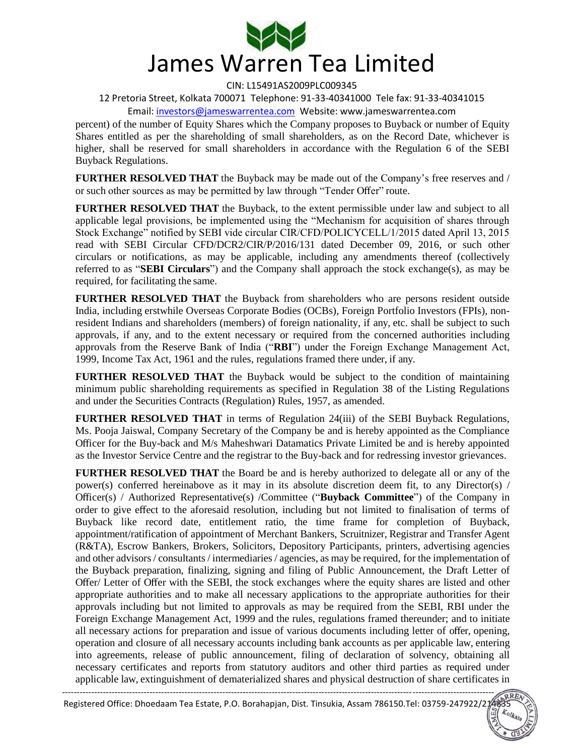

12 Pretoria Street, Kolkata 700071 Telephone: 91-33-40341000 Tele fax: 91-33-40341015 Email: investors@jameswarrentea.com Website: www.jameswarrentea.com

percent) of the number of Equity Shares which the Company proposes to Buyback or number of Equity Shares entitled as per the shareholding of small shareholders, as on the Record Date, whichever is higher, shall be reserved for small shareholders in accordance with the Regulation 6 of the SEBI Buyback Regulations.

**FURTHER RESOLVED THAT** the Buyback may be made out of the Company's free reserves and / or such other sources as may be permitted by law through "Tender Offer" route.

**FURTHER RESOLVED THAT** the Buyback, to the extent permissible under law and subject to all applicable legal provisions, be implemented using the "Mechanism for acquisition of shares through Stock Exchange" notified by SEBI vide circular CIR/CFD/POLICYCELL/1/2015 dated April 13, 2015 read with SEBI Circular CFD/DCR2/CIR/P/2016/131 dated December 09, 2016, or such other circulars or notifications, as may be applicable, including any amendments thereof (collectively referred to as "**SEBI Circulars**") and the Company shall approach the stock exchange(s), as may be required, for facilitating the same.

**FURTHER RESOLVED THAT** the Buyback from shareholders who are persons resident outside India, including erstwhile Overseas Corporate Bodies (OCBs), Foreign Portfolio Investors (FPIs), nonresident Indians and shareholders (members) of foreign nationality, if any, etc. shall be subject to such approvals, if any, and to the extent necessary or required from the concerned authorities including approvals from the Reserve Bank of India ("**RBI**") under the Foreign Exchange Management Act, 1999, Income Tax Act, 1961 and the rules, regulations framed there under, if any.

**FURTHER RESOLVED THAT** the Buyback would be subject to the condition of maintaining minimum public shareholding requirements as specified in Regulation 38 of the Listing Regulations and under the Securities Contracts (Regulation) Rules, 1957, as amended.

**FURTHER RESOLVED THAT** in terms of Regulation 24(iii) of the SEBI Buyback Regulations, Ms. Pooja Jaiswal, Company Secretary of the Company be and is hereby appointed as the Compliance Officer for the Buy-back and M/s Maheshwari Datamatics Private Limited be and is hereby appointed as the Investor Service Centre and the registrar to the Buy-back and for redressing investor grievances.

**FURTHER RESOLVED THAT** the Board be and is hereby authorized to delegate all or any of the power(s) conferred hereinabove as it may in its absolute discretion deem fit, to any Director(s) / Officer(s) / Authorized Representative(s) /Committee ("**Buyback Committee**") of the Company in order to give effect to the aforesaid resolution, including but not limited to finalisation of terms of Buyback like record date, entitlement ratio, the time frame for completion of Buyback, appointment/ratification of appointment of Merchant Bankers, Scruitnizer, Registrar and Transfer Agent (R&TA), Escrow Bankers, Brokers, Solicitors, Depository Participants, printers, advertising agencies and other advisors / consultants / intermediaries / agencies, as may be required, for the implementation of the Buyback preparation, finalizing, signing and filing of Public Announcement, the Draft Letter of Offer/ Letter of Offer with the SEBI, the stock exchanges where the equity shares are listed and other appropriate authorities and to make all necessary applications to the appropriate authorities for their approvals including but not limited to approvals as may be required from the SEBI, RBI under the Foreign Exchange Management Act, 1999 and the rules, regulations framed thereunder; and to initiate all necessary actions for preparation and issue of various documents including letter of offer, opening, operation and closure of all necessary accounts including bank accounts as per applicable law, entering into agreements, release of public announcement, filing of declaration of solvency, obtaining all necessary certificates and reports from statutory auditors and other third parties as required under applicable law, extinguishment of dematerialized shares and physical destruction of share certificates in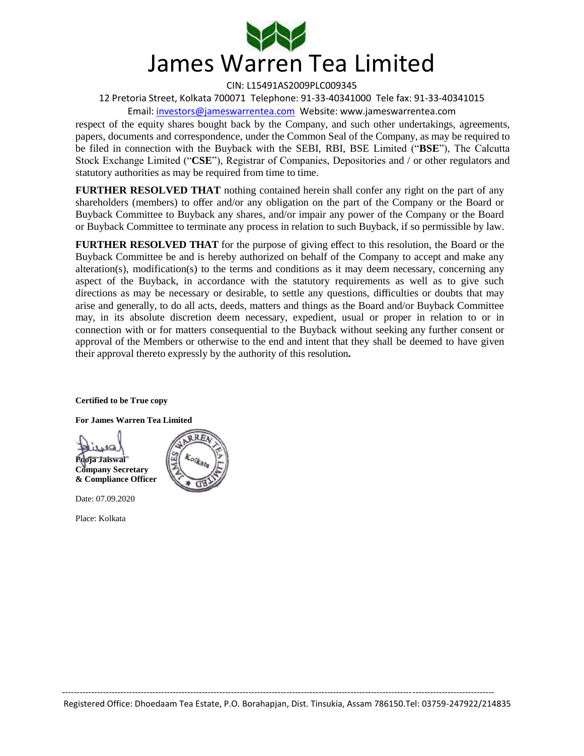

12 Pretoria Street, Kolkata 700071 Telephone: 91-33-40341000 Tele fax: 91-33-40341015 Email: investors@jameswarrentea.com Website: www.jameswarrentea.com

respect of the equity shares bought back by the Company, and such other undertakings, agreements, papers, documents and correspondence, under the Common Seal of the Company, as may be required to be filed in connection with the Buyback with the SEBI, RBI, BSE Limited ("**BSE**"), The Calcutta Stock Exchange Limited ("**CSE**"), Registrar of Companies, Depositories and / or other regulators and statutory authorities as may be required from time to time.

**FURTHER RESOLVED THAT** nothing contained herein shall confer any right on the part of any shareholders (members) to offer and/or any obligation on the part of the Company or the Board or Buyback Committee to Buyback any shares, and/or impair any power of the Company or the Board or Buyback Committee to terminate any process in relation to such Buyback, if so permissible by law.

**FURTHER RESOLVED THAT** for the purpose of giving effect to this resolution, the Board or the Buyback Committee be and is hereby authorized on behalf of the Company to accept and make any alteration(s), modification(s) to the terms and conditions as it may deem necessary, concerning any aspect of the Buyback, in accordance with the statutory requirements as well as to give such directions as may be necessary or desirable, to settle any questions, difficulties or doubts that may arise and generally, to do all acts, deeds, matters and things as the Board and/or Buyback Committee may, in its absolute discretion deem necessary, expedient, usual or proper in relation to or in connection with or for matters consequential to the Buyback without seeking any further consent or approval of the Members or otherwise to the end and intent that they shall be deemed to have given their approval thereto expressly by the authority of this resolution**.** 

**Certified to be True copy** 

**For James Warren Tea Limited** 

**Pooja Jaiswal Company Secretary** 



Date: 07.09.2020

**& Compliance Officer** 

Place: Kolkata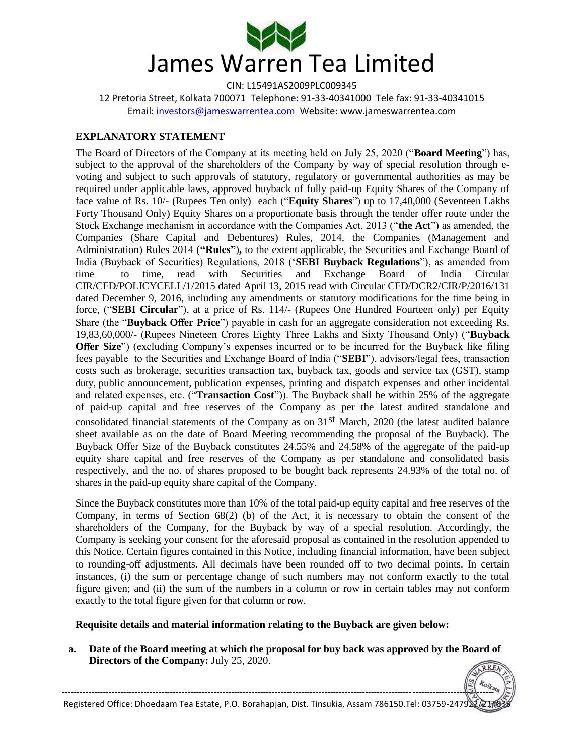

12 Pretoria Street, Kolkata 700071 Telephone: 91-33-40341000 Tele fax: 91-33-40341015 Email: investors@jameswarrentea.com Website: www.jameswarrentea.com

# **EXPLANATORY STATEMENT**

The Board of Directors of the Company at its meeting held on July 25, 2020 ("**Board Meeting**") has, subject to the approval of the shareholders of the Company by way of special resolution through evoting and subject to such approvals of statutory, regulatory or governmental authorities as may be required under applicable laws, approved buyback of fully paid-up Equity Shares of the Company of face value of Rs. 10/- (Rupees Ten only) each ("**Equity Shares**") up to 17,40,000 (Seventeen Lakhs Forty Thousand Only) Equity Shares on a proportionate basis through the tender offer route under the Stock Exchange mechanism in accordance with the Companies Act, 2013 ("**the Act**") as amended, the Companies (Share Capital and Debentures) Rules, 2014, the Companies (Management and Administration) Rules 2014 (**"Rules"**)**,** to the extent applicable, the Securities and Exchange Board of India (Buyback of Securities) Regulations, 2018 ("**SEBI Buyback Regulations**"), as amended from time to time, read with Securities and Exchange Board of India Circular CIR/CFD/POLICYCELL/1/2015 dated April 13, 2015 read with Circular CFD/DCR2/CIR/P/2016/131 dated December 9, 2016, including any amendments or statutory modifications for the time being in force, ("**SEBI Circular**"), at a price of Rs. 114/- (Rupees One Hundred Fourteen only) per Equity Share (the "**Buyback O**ff**er Price**") payable in cash for an aggregate consideration not exceeding Rs. 19,83,60,000/- (Rupees Nineteen Crores Eighty Three Lakhs and Sixty Thousand Only) ("**Buyback Offer Size**") (excluding Company's expenses incurred or to be incurred for the Buyback like filing fees payable to the Securities and Exchange Board of India ("**SEBI**"), advisors/legal fees, transaction costs such as brokerage, securities transaction tax, buyback tax, goods and service tax (GST), stamp duty, public announcement, publication expenses, printing and dispatch expenses and other incidental and related expenses, etc. ("**Transaction Cost**")). The Buyback shall be within 25% of the aggregate of paid-up capital and free reserves of the Company as per the latest audited standalone and consolidated financial statements of the Company as on  $31<sup>st</sup>$  March, 2020 (the latest audited balance sheet available as on the date of Board Meeting recommending the proposal of the Buyback). The Buyback Offer Size of the Buyback constitutes 24.55% and 24.58% of the aggregate of the paid-up equity share capital and free reserves of the Company as per standalone and consolidated basis respectively, and the no. of shares proposed to be bought back represents 24.93% of the total no. of shares in the paid-up equity share capital of the Company.

Since the Buyback constitutes more than 10% of the total paid-up equity capital and free reserves of the Company, in terms of Section  $68(2)$  (b) of the Act, it is necessary to obtain the consent of the shareholders of the Company, for the Buyback by way of a special resolution. Accordingly, the Company is seeking your consent for the aforesaid proposal as contained in the resolution appended to this Notice. Certain figures contained in this Notice, including financial information, have been subject to rounding-off adjustments. All decimals have been rounded off to two decimal points. In certain instances, (i) the sum or percentage change of such numbers may not conform exactly to the total figure given; and (ii) the sum of the numbers in a column or row in certain tables may not conform exactly to the total figure given for that column or row.

### **Requisite details and material information relating to the Buyback are given below:**

**a. Date of the Board meeting at which the proposal for buy back was approved by the Board of Directors of the Company:** July 25, 2020. RREN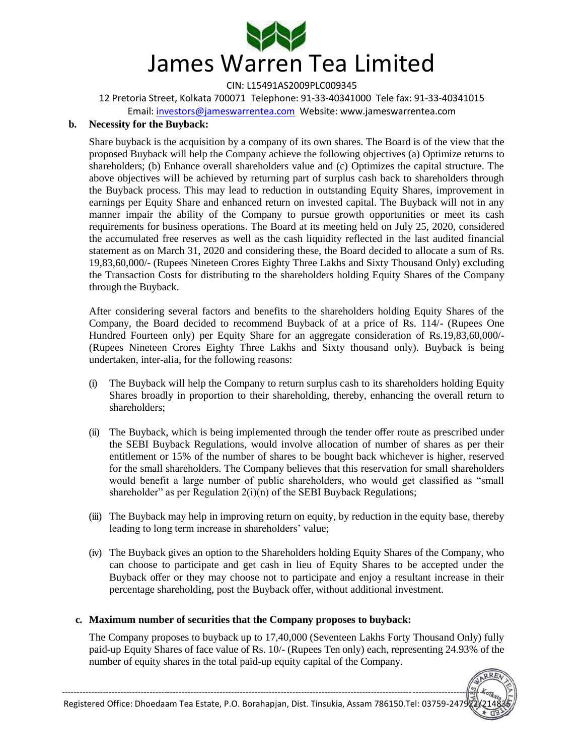

12 Pretoria Street, Kolkata 700071 Telephone: 91-33-40341000 Tele fax: 91-33-40341015

Email: investors@jameswarrentea.com Website: www.jameswarrentea.com

### **b. Necessity for the Buyback:**

Share buyback is the acquisition by a company of its own shares. The Board is of the view that the proposed Buyback will help the Company achieve the following objectives (a) Optimize returns to shareholders; (b) Enhance overall shareholders value and (c) Optimizes the capital structure. The above objectives will be achieved by returning part of surplus cash back to shareholders through the Buyback process. This may lead to reduction in outstanding Equity Shares, improvement in earnings per Equity Share and enhanced return on invested capital. The Buyback will not in any manner impair the ability of the Company to pursue growth opportunities or meet its cash requirements for business operations. The Board at its meeting held on July 25, 2020, considered the accumulated free reserves as well as the cash liquidity reflected in the last audited financial statement as on March 31, 2020 and considering these, the Board decided to allocate a sum of Rs. 19,83,60,000/- (Rupees Nineteen Crores Eighty Three Lakhs and Sixty Thousand Only) excluding the Transaction Costs for distributing to the shareholders holding Equity Shares of the Company through the Buyback.

After considering several factors and benefits to the shareholders holding Equity Shares of the Company, the Board decided to recommend Buyback of at a price of Rs. 114/- (Rupees One Hundred Fourteen only) per Equity Share for an aggregate consideration of Rs.19,83,60,000/- (Rupees Nineteen Crores Eighty Three Lakhs and Sixty thousand only). Buyback is being undertaken, inter-alia, for the following reasons:

- (i) The Buyback will help the Company to return surplus cash to its shareholders holding Equity Shares broadly in proportion to their shareholding, thereby, enhancing the overall return to shareholders;
- (ii) The Buyback, which is being implemented through the tender offer route as prescribed under the SEBI Buyback Regulations, would involve allocation of number of shares as per their entitlement or 15% of the number of shares to be bought back whichever is higher, reserved for the small shareholders. The Company believes that this reservation for small shareholders would benefit a large number of public shareholders, who would get classified as "small shareholder" as per Regulation  $2(i)(n)$  of the SEBI Buyback Regulations;
- (iii) The Buyback may help in improving return on equity, by reduction in the equity base, thereby leading to long term increase in shareholders' value;
- (iv) The Buyback gives an option to the Shareholders holding Equity Shares of the Company, who can choose to participate and get cash in lieu of Equity Shares to be accepted under the Buyback offer or they may choose not to participate and enjoy a resultant increase in their percentage shareholding, post the Buyback offer, without additional investment.

# **c. Maximum number of securities that the Company proposes to buyback:**

The Company proposes to buyback up to 17,40,000 (Seventeen Lakhs Forty Thousand Only) fully paid-up Equity Shares of face value of Rs. 10/- (Rupees Ten only) each, representing 24.93% of the number of equity shares in the total paid-up equity capital of the Company.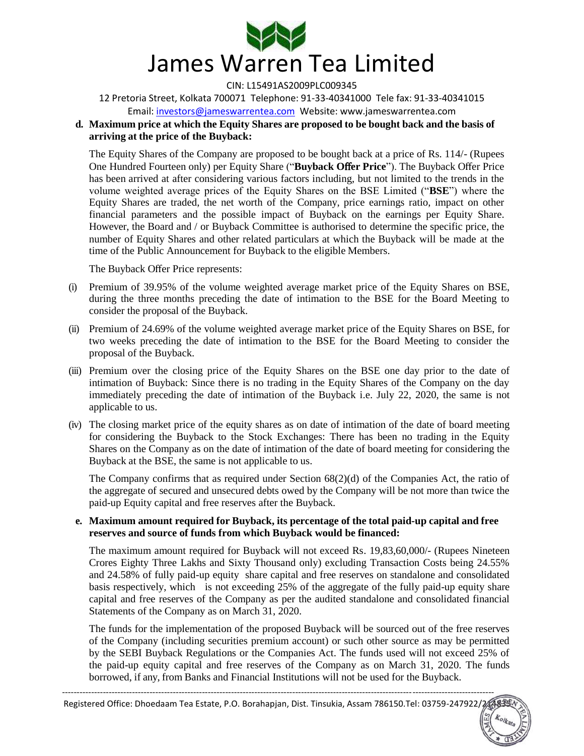

12 Pretoria Street, Kolkata 700071 Telephone: 91-33-40341000 Tele fax: 91-33-40341015 Email: investors@jameswarrentea.com Website: www.jameswarrentea.com

# **d. Maximum price at which the Equity Shares are proposed to be bought back and the basis of arriving at the price of the Buyback:**

The Equity Shares of the Company are proposed to be bought back at a price of Rs. 114/- (Rupees One Hundred Fourteen only) per Equity Share ("**Buyback O**ff**er Price**"). The Buyback Offer Price has been arrived at after considering various factors including, but not limited to the trends in the volume weighted average prices of the Equity Shares on the BSE Limited ("**BSE**") where the Equity Shares are traded, the net worth of the Company, price earnings ratio, impact on other financial parameters and the possible impact of Buyback on the earnings per Equity Share. However, the Board and / or Buyback Committee is authorised to determine the specific price, the number of Equity Shares and other related particulars at which the Buyback will be made at the time of the Public Announcement for Buyback to the eligible Members.

The Buyback Offer Price represents:

- (i) Premium of 39.95% of the volume weighted average market price of the Equity Shares on BSE, during the three months preceding the date of intimation to the BSE for the Board Meeting to consider the proposal of the Buyback.
- (ii) Premium of 24.69% of the volume weighted average market price of the Equity Shares on BSE, for two weeks preceding the date of intimation to the BSE for the Board Meeting to consider the proposal of the Buyback.
- (iii) Premium over the closing price of the Equity Shares on the BSE one day prior to the date of intimation of Buyback: Since there is no trading in the Equity Shares of the Company on the day immediately preceding the date of intimation of the Buyback i.e. July 22, 2020, the same is not applicable to us.
- (iv) The closing market price of the equity shares as on date of intimation of the date of board meeting for considering the Buyback to the Stock Exchanges: There has been no trading in the Equity Shares on the Company as on the date of intimation of the date of board meeting for considering the Buyback at the BSE, the same is not applicable to us.

The Company confirms that as required under Section 68(2)(d) of the Companies Act, the ratio of the aggregate of secured and unsecured debts owed by the Company will be not more than twice the paid-up Equity capital and free reserves after the Buyback.

### **e. Maximum amount required for Buyback, its percentage of the total paid-up capital and free reserves and source of funds from which Buyback would be financed:**

The maximum amount required for Buyback will not exceed Rs. 19,83,60,000/- (Rupees Nineteen Crores Eighty Three Lakhs and Sixty Thousand only) excluding Transaction Costs being 24.55% and 24.58% of fully paid-up equity share capital and free reserves on standalone and consolidated basis respectively, which is not exceeding 25% of the aggregate of the fully paid-up equity share capital and free reserves of the Company as per the audited standalone and consolidated financial Statements of the Company as on March 31, 2020.

The funds for the implementation of the proposed Buyback will be sourced out of the free reserves of the Company (including securities premium account) or such other source as may be permitted by the SEBI Buyback Regulations or the Companies Act. The funds used will not exceed 25% of the paid-up equity capital and free reserves of the Company as on March 31, 2020. The funds borrowed, if any, from Banks and Financial Institutions will not be used for the Buyback.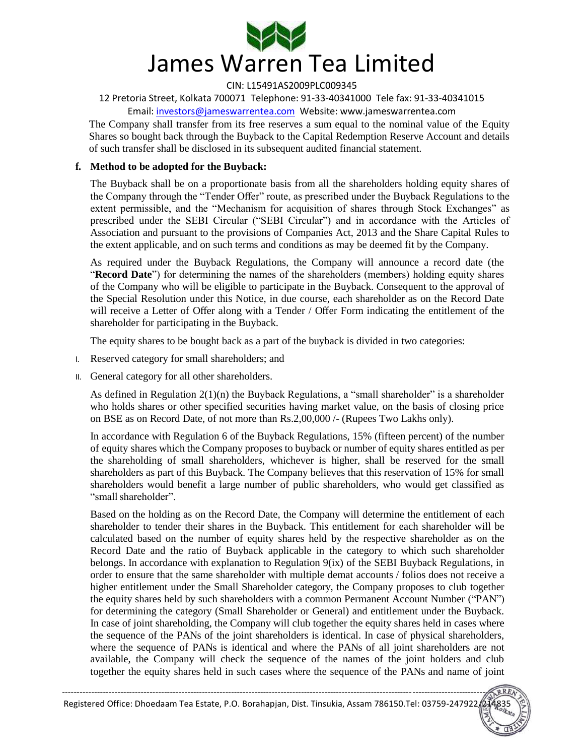

12 Pretoria Street, Kolkata 700071 Telephone: 91-33-40341000 Tele fax: 91-33-40341015 Email: investors@jameswarrentea.com Website: www.jameswarrentea.com

The Company shall transfer from its free reserves a sum equal to the nominal value of the Equity Shares so bought back through the Buyback to the Capital Redemption Reserve Account and details of such transfer shall be disclosed in its subsequent audited financial statement.

# **f. Method to be adopted for the Buyback:**

The Buyback shall be on a proportionate basis from all the shareholders holding equity shares of the Company through the "Tender Offer" route, as prescribed under the Buyback Regulations to the extent permissible, and the "Mechanism for acquisition of shares through Stock Exchanges" as prescribed under the SEBI Circular ("SEBI Circular") and in accordance with the Articles of Association and pursuant to the provisions of Companies Act, 2013 and the Share Capital Rules to the extent applicable, and on such terms and conditions as may be deemed fit by the Company.

As required under the Buyback Regulations, the Company will announce a record date (the "**Record Date**") for determining the names of the shareholders (members) holding equity shares of the Company who will be eligible to participate in the Buyback. Consequent to the approval of the Special Resolution under this Notice, in due course, each shareholder as on the Record Date will receive a Letter of Offer along with a Tender / Offer Form indicating the entitlement of the shareholder for participating in the Buyback.

The equity shares to be bought back as a part of the buyback is divided in two categories:

- I. Reserved category for small shareholders; and
- II. General category for all other shareholders.

As defined in Regulation  $2(1)(n)$  the Buyback Regulations, a "small shareholder" is a shareholder who holds shares or other specified securities having market value, on the basis of closing price on BSE as on Record Date, of not more than Rs.2,00,000 /- (Rupees Two Lakhs only).

In accordance with Regulation 6 of the Buyback Regulations, 15% (fifteen percent) of the number of equity shares which the Company proposes to buyback or number of equity shares entitled as per the shareholding of small shareholders, whichever is higher, shall be reserved for the small shareholders as part of this Buyback. The Company believes that this reservation of 15% for small shareholders would benefit a large number of public shareholders, who would get classified as " small shareholder".

Based on the holding as on the Record Date, the Company will determine the entitlement of each shareholder to tender their shares in the Buyback. This entitlement for each shareholder will be calculated based on the number of equity shares held by the respective shareholder as on the Record Date and the ratio of Buyback applicable in the category to which such shareholder belongs. In accordance with explanation to Regulation 9(ix) of the SEBI Buyback Regulations, in order to ensure that the same shareholder with multiple demat accounts / folios does not receive a higher entitlement under the Small Shareholder category, the Company proposes to club together the equity shares held by such shareholders with a common Permanent Account Number ("PAN") for determining the category (Small Shareholder or General) and entitlement under the Buyback. In case of joint shareholding, the Company will club together the equity shares held in cases where the sequence of the PANs of the joint shareholders is identical. In case of physical shareholders, where the sequence of PANs is identical and where the PANs of all joint shareholders are not available, the Company will check the sequence of the names of the joint holders and club together the equity shares held in such cases where the sequence of the PANs and name of joint

RRE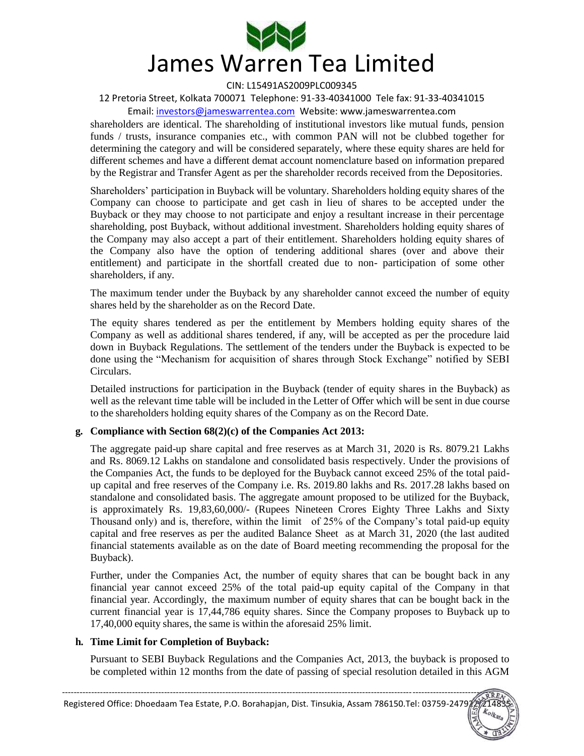

12 Pretoria Street, Kolkata 700071 Telephone: 91-33-40341000 Tele fax: 91-33-40341015

Email: investors@jameswarrentea.com Website: www.jameswarrentea.com

shareholders are identical. The shareholding of institutional investors like mutual funds, pension funds / trusts, insurance companies etc., with common PAN will not be clubbed together for determining the category and will be considered separately, where these equity shares are held for different schemes and have a different demat account nomenclature based on information prepared by the Registrar and Transfer Agent as per the shareholder records received from the Depositories.

Shareholders" participation in Buyback will be voluntary. Shareholders holding equity shares of the Company can choose to participate and get cash in lieu of shares to be accepted under the Buyback or they may choose to not participate and enjoy a resultant increase in their percentage shareholding, post Buyback, without additional investment. Shareholders holding equity shares of the Company may also accept a part of their entitlement. Shareholders holding equity shares of the Company also have the option of tendering additional shares (over and above their entitlement) and participate in the shortfall created due to non- participation of some other shareholders, if any.

The maximum tender under the Buyback by any shareholder cannot exceed the number of equity shares held by the shareholder as on the Record Date.

The equity shares tendered as per the entitlement by Members holding equity shares of the Company as well as additional shares tendered, if any, will be accepted as per the procedure laid down in Buyback Regulations. The settlement of the tenders under the Buyback is expected to be done using the "Mechanism for acquisition of shares through Stock Exchange" notified by SEBI Circulars.

Detailed instructions for participation in the Buyback (tender of equity shares in the Buyback) as well as the relevant time table will be included in the Letter of Offer which will be sent in due course to the shareholders holding equity shares of the Company as on the Record Date.

# **g. Compliance with Section 68(2)(c) of the Companies Act 2013:**

The aggregate paid-up share capital and free reserves as at March 31, 2020 is Rs. 8079.21 Lakhs and Rs. 8069.12 Lakhs on standalone and consolidated basis respectively. Under the provisions of the Companies Act, the funds to be deployed for the Buyback cannot exceed 25% of the total paidup capital and free reserves of the Company i.e. Rs. 2019.80 lakhs and Rs. 2017.28 lakhs based on standalone and consolidated basis. The aggregate amount proposed to be utilized for the Buyback, is approximately Rs. 19,83,60,000/- (Rupees Nineteen Crores Eighty Three Lakhs and Sixty Thousand only) and is, therefore, within the limit of 25% of the Company"s total paid-up equity capital and free reserves as per the audited Balance Sheet as at March 31, 2020 (the last audited financial statements available as on the date of Board meeting recommending the proposal for the Buyback).

Further, under the Companies Act, the number of equity shares that can be bought back in any financial year cannot exceed 25% of the total paid-up equity capital of the Company in that financial year. Accordingly, the maximum number of equity shares that can be bought back in the current financial year is 17,44,786 equity shares. Since the Company proposes to Buyback up to 17,40,000 equity shares, the same is within the aforesaid 25% limit.

### **h. Time Limit for Completion of Buyback:**

Pursuant to SEBI Buyback Regulations and the Companies Act, 2013, the buyback is proposed to be completed within 12 months from the date of passing of special resolution detailed in this AGM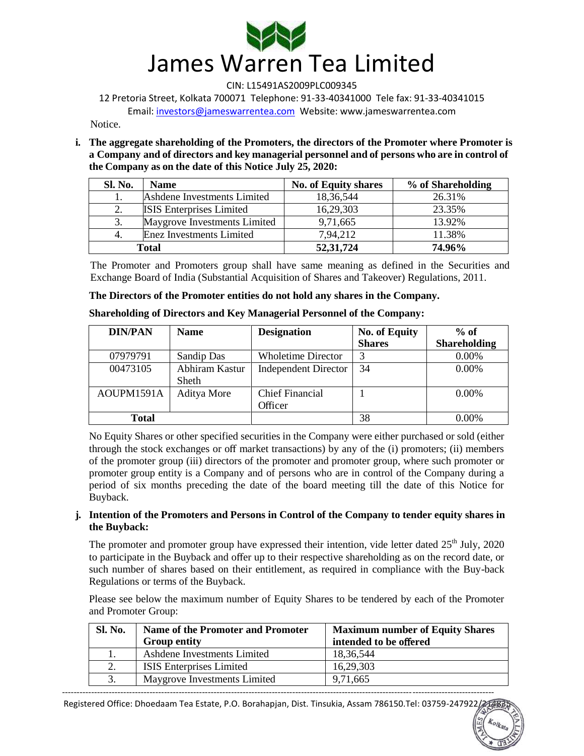

12 Pretoria Street, Kolkata 700071 Telephone: 91-33-40341000 Tele fax: 91-33-40341015 Email: investors@jameswarrentea.com Website: www.jameswarrentea.com

**Notice** 

**i. The aggregate shareholding of the Promoters, the directors of the Promoter where Promoter is a Company and of directors and key managerial personnel and of persons who are in control of the Company as on the date of this Notice July 25, 2020:** 

| Sl. No. | <b>Name</b>                     | <b>No. of Equity shares</b> | % of Shareholding |
|---------|---------------------------------|-----------------------------|-------------------|
|         | Ashdene Investments Limited     | 18,36,544                   | 26.31%            |
|         | <b>ISIS</b> Enterprises Limited | 16,29,303                   | 23.35%            |
| 3.      | Maygrove Investments Limited    | 9,71,665                    | 13.92%            |
|         | Enez Investments Limited        | 7,94,212                    | 11.38%            |
|         | <b>Total</b>                    | 52, 31, 724                 | 74.96%            |

The Promoter and Promoters group shall have same meaning as defined in the Securities and Exchange Board of India (Substantial Acquisition of Shares and Takeover) Regulations, 2011.

**The Directors of the Promoter entities do not hold any shares in the Company.** 

| <b>DIN/PAN</b> | <b>Name</b>    | <b>Designation</b>          | <b>No. of Equity</b> | $%$ of              |
|----------------|----------------|-----------------------------|----------------------|---------------------|
|                |                |                             | <b>Shares</b>        | <b>Shareholding</b> |
| 07979791       | Sandip Das     | <b>Wholetime Director</b>   | 3                    | 0.00%               |
| 00473105       | Abhiram Kastur | <b>Independent Director</b> | 34                   | 0.00%               |
|                | <b>Sheth</b>   |                             |                      |                     |
| AOUPM1591A     | Aditya More    | <b>Chief Financial</b>      |                      | $0.00\%$            |
|                |                | Officer                     |                      |                     |
| <b>Total</b>   |                |                             | 38                   | $0.00\%$            |

**Shareholding of Directors and Key Managerial Personnel of the Company:** 

No Equity Shares or other specified securities in the Company were either purchased or sold (either through the stock exchanges or off market transactions) by any of the (i) promoters; (ii) members of the promoter group (iii) directors of the promoter and promoter group, where such promoter or promoter group entity is a Company and of persons who are in control of the Company during a period of six months preceding the date of the board meeting till the date of this Notice for Buyback.

# **j. Intention of the Promoters and Persons in Control of the Company to tender equity shares in the Buyback:**

The promoter and promoter group have expressed their intention, vide letter dated 25<sup>th</sup> July, 2020 to participate in the Buyback and offer up to their respective shareholding as on the record date, or such number of shares based on their entitlement, as required in compliance with the Buy-back Regulations or terms of the Buyback.

Please see below the maximum number of Equity Shares to be tendered by each of the Promoter and Promoter Group:

| <b>Sl. No.</b> | <b>Name of the Promoter and Promoter</b><br><b>Group entity</b> | <b>Maximum number of Equity Shares</b><br>intended to be offered |
|----------------|-----------------------------------------------------------------|------------------------------------------------------------------|
|                | Ashdene Investments Limited                                     | 18,36,544                                                        |
| 2.             | <b>ISIS</b> Enterprises Limited                                 | 16,29,303                                                        |
| 3.             | Maygrove Investments Limited                                    | 9,71,665                                                         |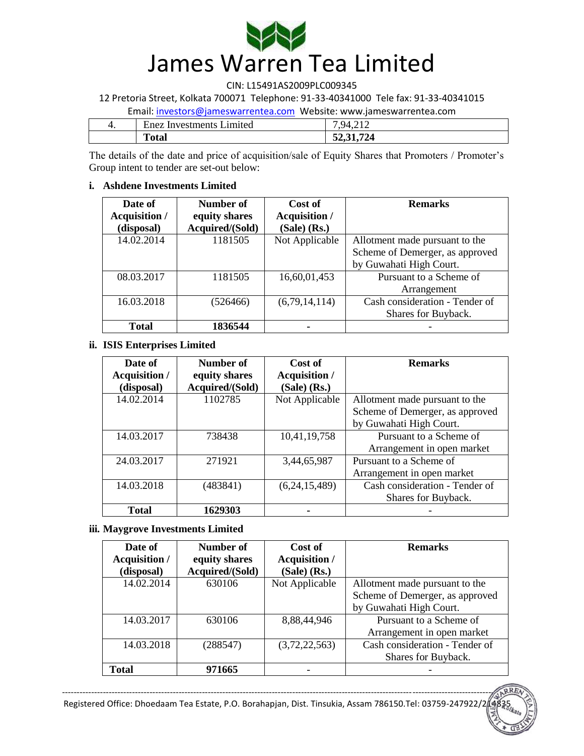

12 Pretoria Street, Kolkata 700071 Telephone: 91-33-40341000 Tele fax: 91-33-40341015

#### Email: investors@jameswarrentea.com Website: www.jameswarrentea.com

| 4. | Enez Investments Limited | 794212<br>┱、∠ + ∠ |
|----|--------------------------|-------------------|
|    | <b>Total</b>             | 52, 31, 724       |

The details of the date and price of acquisition/sale of Equity Shares that Promoters / Promoter's Group intent to tender are set-out below:

# **i. Ashdene Investments Limited**

| Date of       | Number of       | Cost of          | <b>Remarks</b>                  |  |
|---------------|-----------------|------------------|---------------------------------|--|
| Acquisition / | equity shares   | Acquisition /    |                                 |  |
| (disposal)    | Acquired/(Sold) | $(Sale)$ $(Rs.)$ |                                 |  |
| 14.02.2014    | 1181505         | Not Applicable   | Allotment made pursuant to the  |  |
|               |                 |                  | Scheme of Demerger, as approved |  |
|               |                 |                  | by Guwahati High Court.         |  |
| 08.03.2017    | 1181505         | 16,60,01,453     | Pursuant to a Scheme of         |  |
|               |                 |                  | Arrangement                     |  |
| 16.03.2018    | (526466)        | (6,79,14,114)    | Cash consideration - Tender of  |  |
|               |                 |                  | Shares for Buyback.             |  |
| <b>Total</b>  | 1836544         |                  |                                 |  |

### **ii. ISIS Enterprises Limited**

| Date of       | Number of       | Cost of              | <b>Remarks</b>                  |  |
|---------------|-----------------|----------------------|---------------------------------|--|
| Acquisition / | equity shares   | <b>Acquisition</b> / |                                 |  |
| (disposal)    | Acquired/(Sold) | $(Sale)$ $(Rs.)$     |                                 |  |
| 14.02.2014    | 1102785         | Not Applicable       | Allotment made pursuant to the  |  |
|               |                 |                      | Scheme of Demerger, as approved |  |
|               |                 |                      | by Guwahati High Court.         |  |
| 14.03.2017    | 738438          | 10,41,19,758         | Pursuant to a Scheme of         |  |
|               |                 |                      | Arrangement in open market      |  |
| 24.03.2017    | 271921          | 3,44,65,987          | Pursuant to a Scheme of         |  |
|               |                 |                      | Arrangement in open market      |  |
| 14.03.2018    | (483841)        | (6,24,15,489)        | Cash consideration - Tender of  |  |
|               |                 |                      | Shares for Buyback.             |  |
| <b>Total</b>  | 1629303         |                      |                                 |  |

# **iii. Maygrove Investments Limited**

| Date of       | Number of       | Cost of          | <b>Remarks</b>                  |
|---------------|-----------------|------------------|---------------------------------|
| Acquisition / | equity shares   | Acquisition /    |                                 |
| (disposal)    | Acquired/(Sold) | $(Sale)$ $(Rs.)$ |                                 |
| 14.02.2014    | 630106          | Not Applicable   | Allotment made pursuant to the  |
|               |                 |                  | Scheme of Demerger, as approved |
|               |                 |                  | by Guwahati High Court.         |
| 14.03.2017    | 630106          | 8,88,44,946      | Pursuant to a Scheme of         |
|               |                 |                  | Arrangement in open market      |
| 14.03.2018    | (288547)        | (3,72,22,563)    | Cash consideration - Tender of  |
|               |                 |                  | Shares for Buyback.             |
| Total         | 971665          |                  |                                 |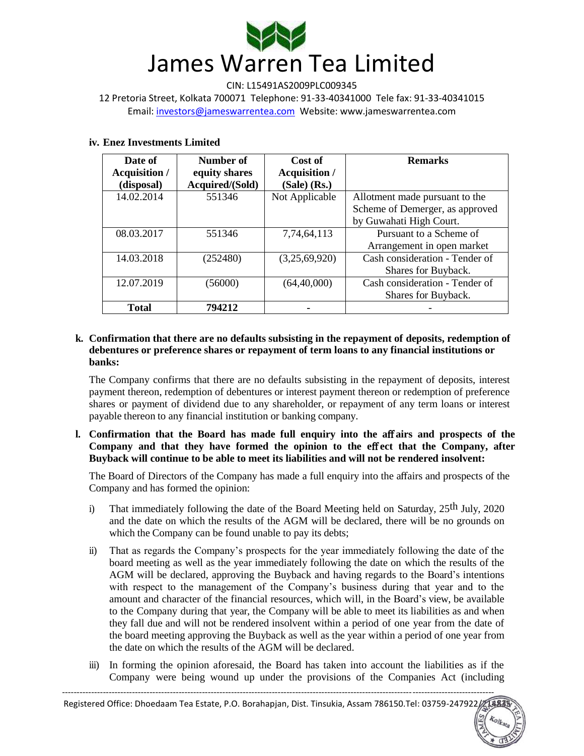

CIN: L15491AS2009PLC009345 12 Pretoria Street, Kolkata 700071 Telephone: 91-33-40341000 Tele fax: 91-33-40341015 Email: investors@jameswarrentea.com Website: www.jameswarrentea.com

#### **iv. Enez Investments Limited**

| Date of              | Number of       | Cost of              | <b>Remarks</b>                  |  |
|----------------------|-----------------|----------------------|---------------------------------|--|
| <b>Acquisition /</b> | equity shares   | <b>Acquisition /</b> |                                 |  |
| (disposal)           | Acquired/(Sold) | $(Sale)$ $(Rs.)$     |                                 |  |
| 14.02.2014           | 551346          | Not Applicable       | Allotment made pursuant to the  |  |
|                      |                 |                      | Scheme of Demerger, as approved |  |
|                      |                 |                      | by Guwahati High Court.         |  |
| 08.03.2017           | 551346          | 7,74,64,113          | Pursuant to a Scheme of         |  |
|                      |                 |                      | Arrangement in open market      |  |
| 14.03.2018           | (252480)        | (3,25,69,920)        | Cash consideration - Tender of  |  |
|                      |                 |                      | Shares for Buyback.             |  |
| 12.07.2019           | (56000)         | (64, 40, 000)        | Cash consideration - Tender of  |  |
|                      |                 |                      | Shares for Buyback.             |  |
| <b>Total</b>         | 794212          |                      |                                 |  |

## **k. Confirmation that there are no defaults subsisting in the repayment of deposits, redemption of debentures or preference shares or repayment of term loans to any financial institutions or banks:**

The Company confirms that there are no defaults subsisting in the repayment of deposits, interest payment thereon, redemption of debentures or interest payment thereon or redemption of preference shares or payment of dividend due to any shareholder, or repayment of any term loans or interest payable thereon to any financial institution or banking company.

# **l. Confirmation that the Board has made full enquiry into the a**ff **airs and prospects of the**  Company and that they have formed the opinion to the effect that the Company, after **Buyback will continue to be able to meet its liabilities and will not be rendered insolvent:**

The Board of Directors of the Company has made a full enquiry into the affairs and prospects of the Company and has formed the opinion:

- i) That immediately following the date of the Board Meeting held on Saturday,  $25<sup>th</sup>$  July,  $2020$ and the date on which the results of the AGM will be declared, there will be no grounds on which the Company can be found unable to pay its debts;
- ii) That as regards the Company"s prospects for the year immediately following the date of the board meeting as well as the year immediately following the date on which the results of the AGM will be declared, approving the Buyback and having regards to the Board"s intentions with respect to the management of the Company"s business during that year and to the amount and character of the financial resources, which will, in the Board"s view, be available to the Company during that year, the Company will be able to meet its liabilities as and when they fall due and will not be rendered insolvent within a period of one year from the date of the board meeting approving the Buyback as well as the year within a period of one year from the date on which the results of the AGM will be declared.
- iii) In forming the opinion aforesaid, the Board has taken into account the liabilities as if the Company were being wound up under the provisions of the Companies Act (including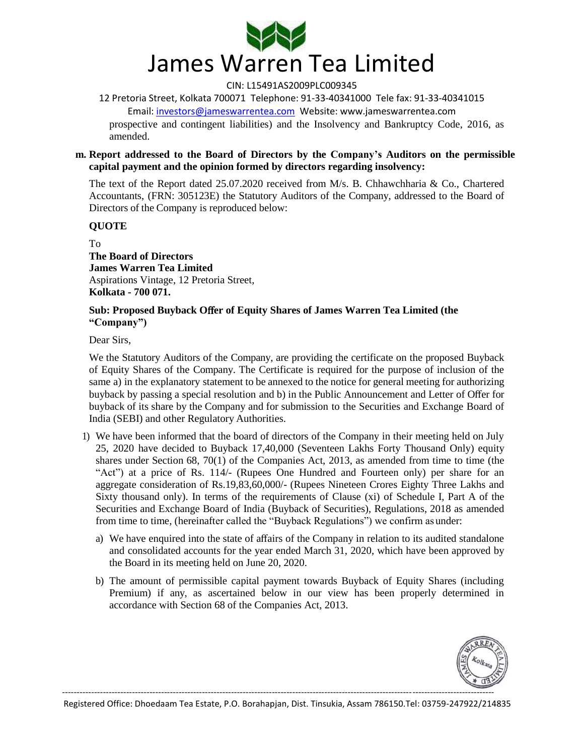

12 Pretoria Street, Kolkata 700071 Telephone: 91-33-40341000 Tele fax: 91-33-40341015 Email: investors@jameswarrentea.com Website: www.jameswarrentea.com prospective and contingent liabilities) and the Insolvency and Bankruptcy Code, 2016, as amended.

#### **m. Report addressed to the Board of Directors by the Company's Auditors on the permissible capital payment and the opinion formed by directors regarding insolvency:**

The text of the Report dated 25.07.2020 received from M/s. B. Chhawchharia & Co., Chartered Accountants, (FRN: 305123E) the Statutory Auditors of the Company, addressed to the Board of Directors of the Company is reproduced below:

### **QUOTE**

To **The Board of Directors James Warren Tea Limited**  Aspirations Vintage, 12 Pretoria Street, **Kolkata - 700 071.** 

### **Sub: Proposed Buyback O**ff**er of Equity Shares of James Warren Tea Limited (the "Company")**

Dear Sirs,

We the Statutory Auditors of the Company, are providing the certificate on the proposed Buyback of Equity Shares of the Company. The Certificate is required for the purpose of inclusion of the same a) in the explanatory statement to be annexed to the notice for general meeting for authorizing buyback by passing a special resolution and b) in the Public Announcement and Letter of Offer for buyback of its share by the Company and for submission to the Securities and Exchange Board of India (SEBI) and other Regulatory Authorities.

- 1) We have been informed that the board of directors of the Company in their meeting held on July 25, 2020 have decided to Buyback 17,40,000 (Seventeen Lakhs Forty Thousand Only) equity shares under Section 68, 70(1) of the Companies Act, 2013, as amended from time to time (the "Act") at a price of Rs. 114/- (Rupees One Hundred and Fourteen only) per share for an aggregate consideration of Rs.19,83,60,000/- (Rupees Nineteen Crores Eighty Three Lakhs and Sixty thousand only). In terms of the requirements of Clause (xi) of Schedule I, Part A of the Securities and Exchange Board of India (Buyback of Securities), Regulations, 2018 as amended from time to time, (hereinafter called the "Buyback Regulations") we confirm as under:
	- a) We have enquired into the state of affairs of the Company in relation to its audited standalone and consolidated accounts for the year ended March 31, 2020, which have been approved by the Board in its meeting held on June 20, 2020.
	- b) The amount of permissible capital payment towards Buyback of Equity Shares (including Premium) if any, as ascertained below in our view has been properly determined in accordance with Section 68 of the Companies Act, 2013.

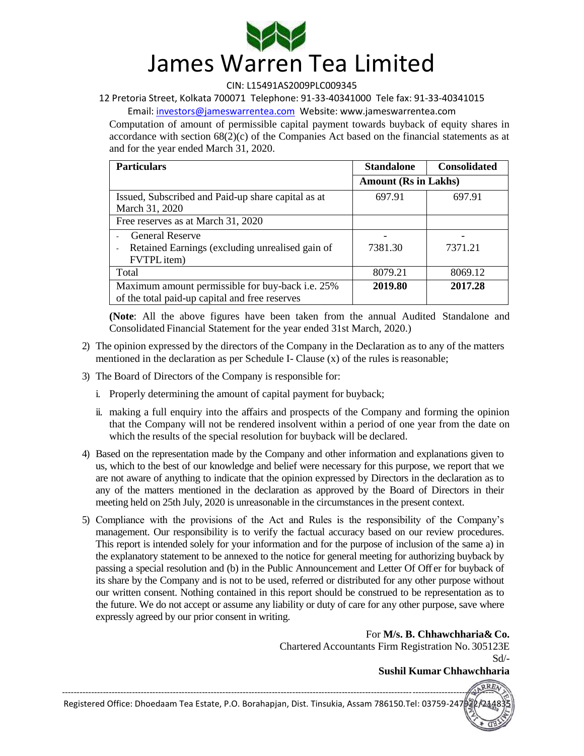

12 Pretoria Street, Kolkata 700071 Telephone: 91-33-40341000 Tele fax: 91-33-40341015

Email: investors@jameswarrentea.com Website: www.jameswarrentea.com

Computation of amount of permissible capital payment towards buyback of equity shares in accordance with section  $68(2)(c)$  of the Companies Act based on the financial statements as at and for the year ended March 31, 2020.

| <b>Particulars</b>                                                                                                   | <b>Standalone</b>           | <b>Consolidated</b> |
|----------------------------------------------------------------------------------------------------------------------|-----------------------------|---------------------|
|                                                                                                                      | <b>Amount (Rs in Lakhs)</b> |                     |
| Issued, Subscribed and Paid-up share capital as at<br>March 31, 2020                                                 | 697.91                      | 697.91              |
| Free reserves as at March 31, 2020                                                                                   |                             |                     |
| <b>General Reserve</b><br>Retained Earnings (excluding unrealised gain of<br>$\overline{\phantom{a}}$<br>FVTPL item) | 7381.30                     | 7371.21             |
| Total                                                                                                                | 8079.21                     | 8069.12             |
| Maximum amount permissible for buy-back <i>i.e.</i> 25%<br>of the total paid-up capital and free reserves            | 2019.80                     | 2017.28             |

**(Note**: All the above figures have been taken from the annual Audited Standalone and Consolidated Financial Statement for the year ended 31st March, 2020.)

- 2) The opinion expressed by the directors of the Company in the Declaration as to any of the matters mentioned in the declaration as per Schedule I- Clause (x) of the rules is reasonable;
- 3) The Board of Directors of the Company is responsible for:
	- i. Properly determining the amount of capital payment for buyback;
	- ii. making a full enquiry into the affairs and prospects of the Company and forming the opinion that the Company will not be rendered insolvent within a period of one year from the date on which the results of the special resolution for buyback will be declared.
- 4) Based on the representation made by the Company and other information and explanations given to us, which to the best of our knowledge and belief were necessary for this purpose, we report that we are not aware of anything to indicate that the opinion expressed by Directors in the declaration as to any of the matters mentioned in the declaration as approved by the Board of Directors in their meeting held on 25th July, 2020 is unreasonable in the circumstances in the present context.
- 5) Compliance with the provisions of the Act and Rules is the responsibility of the Company"s management. Our responsibility is to verify the factual accuracy based on our review procedures. This report is intended solely for your information and for the purpose of inclusion of the same a) in the explanatory statement to be annexed to the notice for general meeting for authorizing buyback by passing a special resolution and (b) in the Public Announcement and Letter Of Off er for buyback of its share by the Company and is not to be used, referred or distributed for any other purpose without our written consent. Nothing contained in this report should be construed to be representation as to the future. We do not accept or assume any liability or duty of care for any other purpose, save where expressly agreed by our prior consent in writing.

For **M/s. B. Chhawchharia& Co.** 

Chartered Accountants Firm Registration No. 305123E Sd/-

**Sushil Kumar Chhawchharia**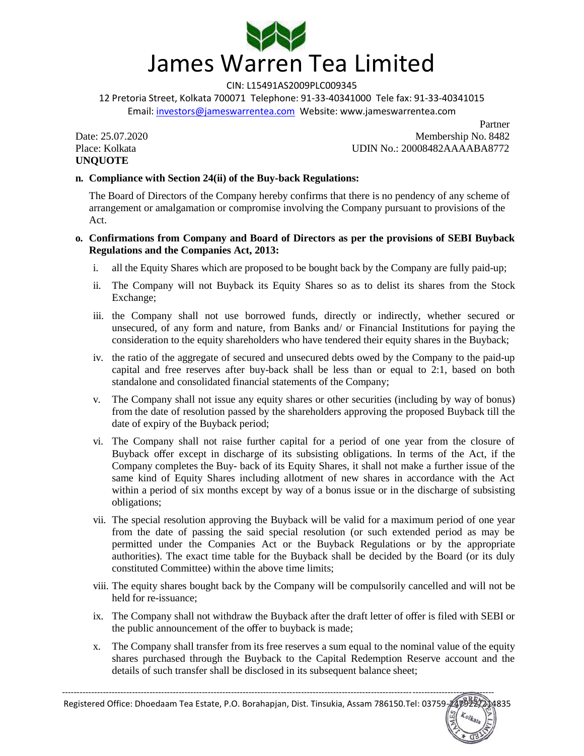

12 Pretoria Street, Kolkata 700071 Telephone: 91-33-40341000 Tele fax: 91-33-40341015 Email: investors@jameswarrentea.com Website: www.jameswarrentea.com

**UNQUOTE** 

Partner Date: 25.07.2020 Membership No. 8482 Place: Kolkata UDIN No.: 20008482AAAABA8772

# **n. Compliance with Section 24(ii) of the Buy-back Regulations:**

The Board of Directors of the Company hereby confirms that there is no pendency of any scheme of arrangement or amalgamation or compromise involving the Company pursuant to provisions of the Act.

### **o. Confirmations from Company and Board of Directors as per the provisions of SEBI Buyback Regulations and the Companies Act, 2013:**

- i. all the Equity Shares which are proposed to be bought back by the Company are fully paid-up;
- ii. The Company will not Buyback its Equity Shares so as to delist its shares from the Stock Exchange;
- iii. the Company shall not use borrowed funds, directly or indirectly, whether secured or unsecured, of any form and nature, from Banks and/ or Financial Institutions for paying the consideration to the equity shareholders who have tendered their equity shares in the Buyback;
- iv. the ratio of the aggregate of secured and unsecured debts owed by the Company to the paid-up capital and free reserves after buy-back shall be less than or equal to 2:1, based on both standalone and consolidated financial statements of the Company;
- v. The Company shall not issue any equity shares or other securities (including by way of bonus) from the date of resolution passed by the shareholders approving the proposed Buyback till the date of expiry of the Buyback period;
- vi. The Company shall not raise further capital for a period of one year from the closure of Buyback offer except in discharge of its subsisting obligations. In terms of the Act, if the Company completes the Buy- back of its Equity Shares, it shall not make a further issue of the same kind of Equity Shares including allotment of new shares in accordance with the Act within a period of six months except by way of a bonus issue or in the discharge of subsisting obligations;
- vii. The special resolution approving the Buyback will be valid for a maximum period of one year from the date of passing the said special resolution (or such extended period as may be permitted under the Companies Act or the Buyback Regulations or by the appropriate authorities). The exact time table for the Buyback shall be decided by the Board (or its duly constituted Committee) within the above time limits;
- viii. The equity shares bought back by the Company will be compulsorily cancelled and will not be held for re-issuance;
- ix. The Company shall not withdraw the Buyback after the draft letter of offer is filed with SEBI or the public announcement of the offer to buyback is made;
- x. The Company shall transfer from its free reserves a sum equal to the nominal value of the equity shares purchased through the Buyback to the Capital Redemption Reserve account and the details of such transfer shall be disclosed in its subsequent balance sheet;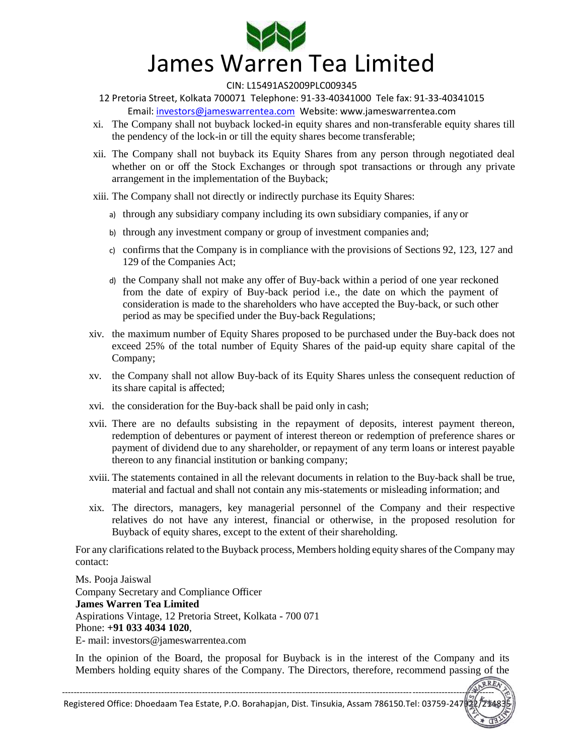

12 Pretoria Street, Kolkata 700071 Telephone: 91-33-40341000 Tele fax: 91-33-40341015 Email: investors@jameswarrentea.com Website: www.jameswarrentea.com

- xi. The Company shall not buyback locked-in equity shares and non-transferable equity shares till the pendency of the lock-in or till the equity shares become transferable;
- xii. The Company shall not buyback its Equity Shares from any person through negotiated deal whether on or off the Stock Exchanges or through spot transactions or through any private arrangement in the implementation of the Buyback;
- xiii. The Company shall not directly or indirectly purchase its Equity Shares:
	- a) through any subsidiary company including its own subsidiary companies, if any or
	- b) through any investment company or group of investment companies and;
	- c) confirms that the Company is in compliance with the provisions of Sections 92, 123, 127 and 129 of the Companies Act;
	- d) the Company shall not make any offer of Buy-back within a period of one year reckoned from the date of expiry of Buy-back period i.e., the date on which the payment of consideration is made to the shareholders who have accepted the Buy-back, or such other period as may be specified under the Buy-back Regulations;
- xiv. the maximum number of Equity Shares proposed to be purchased under the Buy-back does not exceed 25% of the total number of Equity Shares of the paid-up equity share capital of the Company;
- xv. the Company shall not allow Buy-back of its Equity Shares unless the consequent reduction of its share capital is affected;
- xvi. the consideration for the Buy-back shall be paid only in cash;
- xvii. There are no defaults subsisting in the repayment of deposits, interest payment thereon, redemption of debentures or payment of interest thereon or redemption of preference shares or payment of dividend due to any shareholder, or repayment of any term loans or interest payable thereon to any financial institution or banking company;
- xviii. The statements contained in all the relevant documents in relation to the Buy-back shall be true, material and factual and shall not contain any mis-statements or misleading information; and
- xix. The directors, managers, key managerial personnel of the Company and their respective relatives do not have any interest, financial or otherwise, in the proposed resolution for Buyback of equity shares, except to the extent of their shareholding.

For any clarifications related to the Buyback process, Members holding equity shares of the Company may contact:

Ms. Pooja Jaiswal Company Secretary and Compliance Officer **James Warren Tea Limited**  Aspirations Vintage, 12 Pretoria Street, Kolkata - 700 071 Phone: **+91 033 4034 1020**, E- mail: investors@jameswarrentea.com

In the opinion of the Board, the proposal for Buyback is in the interest of the Company and its Members holding equity shares of the Company. The Directors, therefore, recommend passing of the